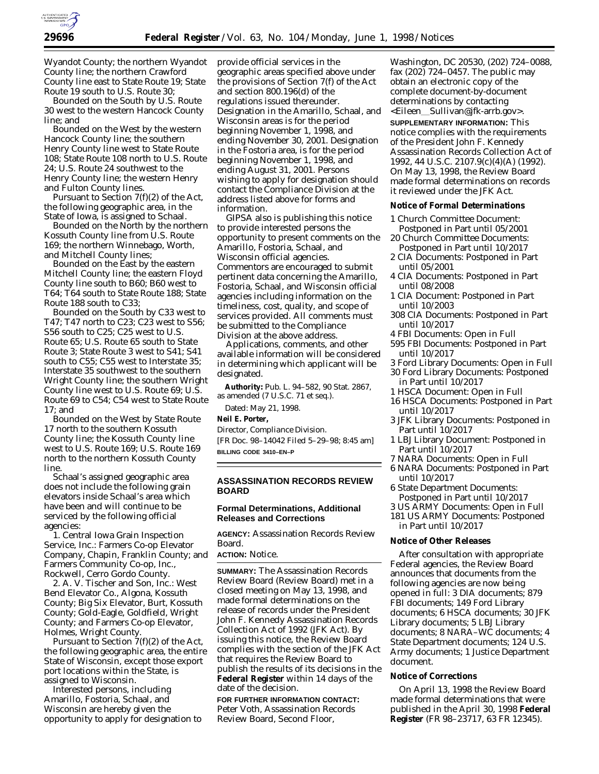

Wyandot County; the northern Wyandot County line; the northern Crawford County line east to State Route 19; State Route 19 south to U.S. Route 30;

Bounded on the South by U.S. Route 30 west to the western Hancock County line; and

Bounded on the West by the western Hancock County line; the southern Henry County line west to State Route 108; State Route 108 north to U.S. Route 24; U.S. Route 24 southwest to the Henry County line; the western Henry and Fulton County lines.

Pursuant to Section 7(f)(2) of the Act, the following geographic area, in the State of Iowa, is assigned to Schaal.

Bounded on the North by the northern Kossuth County line from U.S. Route 169; the northern Winnebago, Worth, and Mitchell County lines;

Bounded on the East by the eastern Mitchell County line; the eastern Floyd County line south to B60; B60 west to T64; T64 south to State Route 188; State Route 188 south to C33;

Bounded on the South by C33 west to T47; T47 north to C23; C23 west to S56; S56 south to C25; C25 west to U.S. Route 65; U.S. Route 65 south to State Route 3; State Route 3 west to S41; S41 south to C55; C55 west to Interstate 35; Interstate 35 southwest to the southern Wright County line; the southern Wright County line west to U.S. Route 69; U.S. Route 69 to C54; C54 west to State Route 17; and

Bounded on the West by State Route 17 north to the southern Kossuth County line; the Kossuth County line west to U.S. Route 169; U.S. Route 169 north to the northern Kossuth County line.

Schaal's assigned geographic area does not include the following grain elevators inside Schaal's area which have been and will continue to be serviced by the following official agencies:

1. Central Iowa Grain Inspection Service, Inc.: Farmers Co-op Elevator Company, Chapin, Franklin County; and Farmers Community Co-op, Inc., Rockwell, Cerro Gordo County.

2. A. V. Tischer and Son, Inc.: West Bend Elevator Co., Algona, Kossuth County; Big Six Elevator, Burt, Kossuth County; Gold-Eagle, Goldfield, Wright County; and Farmers Co-op Elevator, Holmes, Wright County.

Pursuant to Section  $\check{7}(f)(2)$  of the Act, the following geographic area, the entire State of Wisconsin, except those export port locations within the State, is assigned to Wisconsin.

Interested persons, including Amarillo, Fostoria, Schaal, and Wisconsin are hereby given the opportunity to apply for designation to provide official services in the geographic areas specified above under the provisions of Section 7(f) of the Act and section 800.196(d) of the regulations issued thereunder. Designation in the Amarillo, Schaal, and Wisconsin areas is for the period beginning November 1, 1998, and ending November 30, 2001. Designation in the Fostoria area, is for the period beginning November 1, 1998, and ending August 31, 2001. Persons wishing to apply for designation should contact the Compliance Division at the address listed above for forms and information.

GIPSA also is publishing this notice to provide interested persons the opportunity to present comments on the Amarillo, Fostoria, Schaal, and Wisconsin official agencies. Commentors are encouraged to submit pertinent data concerning the Amarillo, Fostoria, Schaal, and Wisconsin official agencies including information on the timeliness, cost, quality, and scope of services provided. All comments must be submitted to the Compliance Division at the above address.

Applications, comments, and other available information will be considered in determining which applicant will be designated.

**Authority:** Pub. L. 94–582, 90 Stat. 2867, as amended (7 U.S.C. 71 et seq.).

Dated: May 21, 1998.

#### **Neil E. Porter,**

*Director, Compliance Division.*

[FR Doc. 98–14042 Filed 5–29–98; 8:45 am] **BILLING CODE 3410–EN–P**

### **ASSASSINATION RECORDS REVIEW BOARD**

# **Formal Determinations, Additional Releases and Corrections**

**AGENCY:** Assassination Records Review Board.

### **ACTION:** Notice.

**SUMMARY:** The Assassination Records Review Board (Review Board) met in a closed meeting on May 13, 1998, and made formal determinations on the release of records under the President John F. Kennedy Assassination Records Collection Act of 1992 (JFK Act). By issuing this notice, the Review Board complies with the section of the JFK Act that requires the Review Board to publish the results of its decisions in the **Federal Register** within 14 days of the date of the decision.

**FOR FURTHER INFORMATION CONTACT:** Peter Voth, Assassination Records Review Board, Second Floor,

Washington, DC 20530, (202) 724–0088, fax (202) 724–0457. The public may obtain an electronic copy of the complete document-by-document determinations by contacting <Eileen\_Sullivan@jfk-arrb.gov>.

**SUPPLEMENTARY INFORMATION:** This notice complies with the requirements of the President John F. Kennedy Assassination Records Collection Act of 1992, 44 U.S.C. 2107.9(c)(4)(A) (1992). On May 13, 1998, the Review Board made formal determinations on records it reviewed under the JFK Act.

#### **Notice of Formal Determinations**

- 1 Church Committee Document: Postponed in Part until 05/2001
- 20 Church Committee Documents: Postponed in Part until 10/2017
- 2 CIA Documents: Postponed in Part until 05/2001
- 4 CIA Documents: Postponed in Part until 08/2008
- 1 CIA Document: Postponed in Part until 10/2003
- 308 CIA Documents: Postponed in Part until 10/2017
- 4 FBI Documents: Open in Full
- 595 FBI Documents: Postponed in Part until 10/2017
- 3 Ford Library Documents: Open in Full
- 30 Ford Library Documents: Postponed in Part until 10/2017
- 1 HSCA Document: Open in Full
- 16 HSCA Documents: Postponed in Part until 10/2017
- 3 JFK Library Documents: Postponed in Part until 10/2017
- 1 LBJ Library Document: Postponed in Part until 10/2017
- 7 NARA Documents: Open in Full
- 6 NARA Documents: Postponed in Part until 10/2017
- 6 State Department Documents: Postponed in Part until 10/2017
- 3 US ARMY Documents: Open in Full
- 181 US ARMY Documents: Postponed

in Part until 10/2017

# **Notice of Other Releases**

After consultation with appropriate Federal agencies, the Review Board announces that documents from the following agencies are now being opened in full: 3 DIA documents; 879 FBI documents; 149 Ford Library documents; 6 HSCA documents; 30 JFK Library documents; 5 LBJ Library documents; 8 NARA–WC documents; 4 State Department documents; 124 U.S. Army documents; 1 Justice Department document.

#### **Notice of Corrections**

On April 13, 1998 the Review Board made formal determinations that were published in the April 30, 1998 **Federal Register** (FR 98–23717, 63 FR 12345).